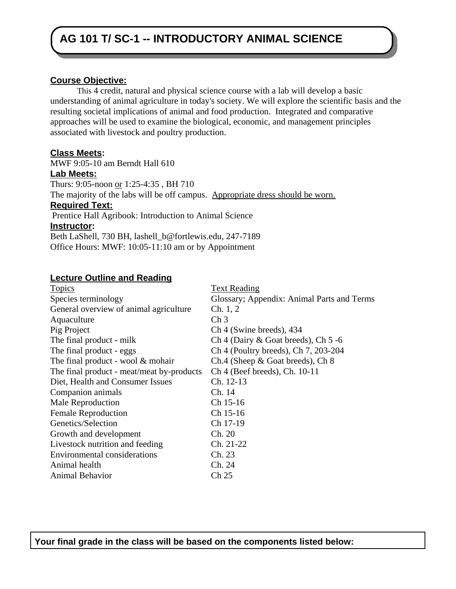# **AG 101 T/ SC-1 -- INTRODUCTORY ANIMAL SCIENCE**

#### **Course Objective:**

This 4 credit, natural and physical science course with a lab will develop a basic understanding of animal agriculture in today's society. We will explore the scientific basis and the resulting societal implications of animal and food production. Integrated and comparative approaches will be used to examine the biological, economic, and management principles associated with livestock and poultry production.

#### **Class Meets:**

MWF 9:05-10 am Berndt Hall 610 **Lab Meets:** Thurs: 9:05-noon or 1:25-4:35 , BH 710 The majority of the labs will be off campus. Appropriate dress should be worn. **Required Text:** Prentice Hall Agribook: Introduction to Animal Science **Instructor:**  Beth LaShell, 730 BH, lashell\_b@fortlewis.edu, 247-7189 Office Hours: MWF: 10:05-11:10 am or by Appointment

#### **Lecture Outline and Reading**

| <b>Topics</b>                             | <b>Text Reading</b>                        |
|-------------------------------------------|--------------------------------------------|
| Species terminology                       | Glossary; Appendix: Animal Parts and Terms |
| General overview of animal agriculture    | Ch. 1, 2                                   |
| Aquaculture                               | Ch <sub>3</sub>                            |
| Pig Project                               | Ch 4 (Swine breeds), 434                   |
| The final product - milk                  | Ch 4 (Dairy $\&$ Goat breeds), Ch 5 -6     |
| The final product - eggs                  | Ch 4 (Poultry breeds), Ch 7, 203-204       |
| The final product - wool $&$ mohair       | Ch.4 (Sheep & Goat breeds), Ch 8           |
| The final product - meat/meat by-products | $Ch$ 4 (Beef breeds), Ch. 10-11            |
| Diet, Health and Consumer Issues          | Ch. 12-13                                  |
| Companion animals                         | Ch. 14                                     |
| Male Reproduction                         | Ch 15-16                                   |
| <b>Female Reproduction</b>                | Ch 15-16                                   |
| Genetics/Selection                        | Ch 17-19                                   |
| Growth and development                    | Ch. 20                                     |
| Livestock nutrition and feeding           | Ch. 21-22                                  |
| <b>Environmental considerations</b>       | Ch. 23                                     |
| Animal health                             | Ch. 24                                     |
| <b>Animal Behavior</b>                    | Ch <sub>25</sub>                           |
|                                           |                                            |

**Your final grade in the class will be based on the components listed below:**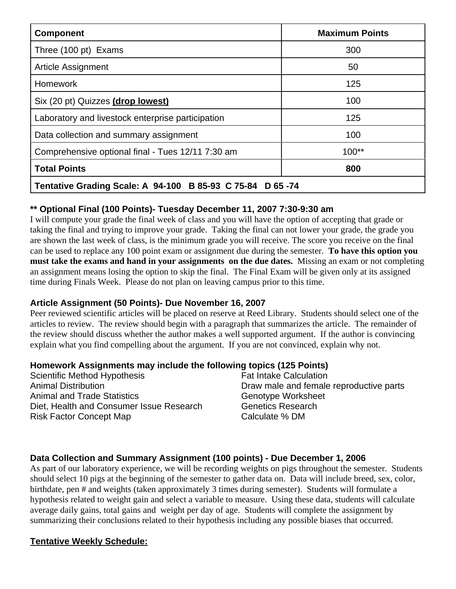| <b>Component</b>                                          | <b>Maximum Points</b> |  |
|-----------------------------------------------------------|-----------------------|--|
| Three (100 pt) Exams                                      | 300                   |  |
| Article Assignment                                        | 50                    |  |
| <b>Homework</b>                                           | 125                   |  |
| Six (20 pt) Quizzes (drop lowest)                         | 100                   |  |
| Laboratory and livestock enterprise participation         | 125                   |  |
| Data collection and summary assignment                    | 100                   |  |
| Comprehensive optional final - Tues 12/11 7:30 am         | $100**$               |  |
| <b>Total Points</b>                                       | 800                   |  |
| Tentative Grading Scale: A 94-100 B 85-93 C 75-84 D 65-74 |                       |  |

## **\*\* Optional Final (100 Points)- Tuesday December 11, 2007 7:30-9:30 am**

I will compute your grade the final week of class and you will have the option of accepting that grade or taking the final and trying to improve your grade. Taking the final can not lower your grade, the grade you are shown the last week of class, is the minimum grade you will receive. The score you receive on the final can be used to replace any 100 point exam or assignment due during the semester. **To have this option you must take the exams and hand in your assignments on the due dates.** Missing an exam or not completing an assignment means losing the option to skip the final. The Final Exam will be given only at its assigned time during Finals Week. Please do not plan on leaving campus prior to this time.

## **Article Assignment (50 Points)- Due November 16, 2007**

Peer reviewed scientific articles will be placed on reserve at Reed Library. Students should select one of the articles to review. The review should begin with a paragraph that summarizes the article. The remainder of the review should discuss whether the author makes a well supported argument. If the author is convincing explain what you find compelling about the argument. If you are not convinced, explain why not.

## **Homework Assignments may include the following topics (125 Points)**

| Scientific Method Hypothesis             | <b>Fat Intake Calculation</b>           |
|------------------------------------------|-----------------------------------------|
| <b>Animal Distribution</b>               | Draw male and female reproductive parts |
| <b>Animal and Trade Statistics</b>       | Genotype Worksheet                      |
| Diet, Health and Consumer Issue Research | <b>Genetics Research</b>                |
| <b>Risk Factor Concept Map</b>           | Calculate % DM                          |

## **Data Collection and Summary Assignment (100 points) - Due December 1, 2006**

As part of our laboratory experience, we will be recording weights on pigs throughout the semester. Students should select 10 pigs at the beginning of the semester to gather data on. Data will include breed, sex, color, birthdate, pen # and weights (taken approximately 3 times during semester). Students will formulate a hypothesis related to weight gain and select a variable to measure. Using these data, students will calculate average daily gains, total gains and weight per day of age. Students will complete the assignment by summarizing their conclusions related to their hypothesis including any possible biases that occurred.

## **Tentative Weekly Schedule:**